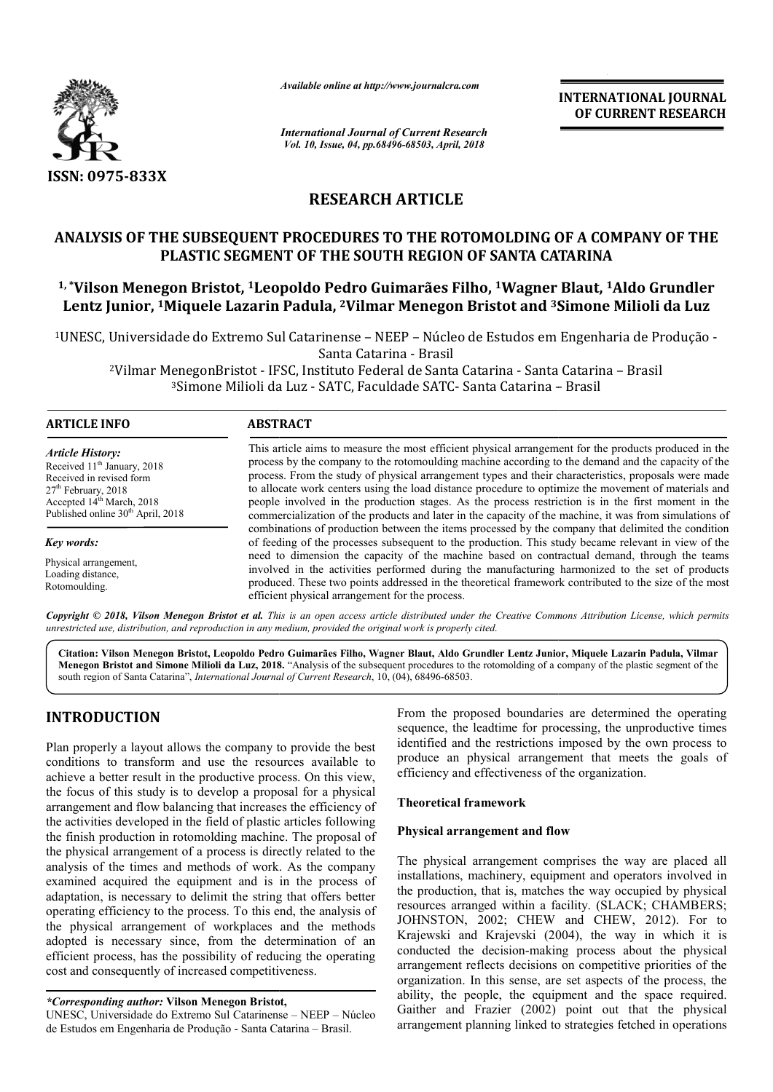

*Available online at http://www.journalcra.com*

# **RESEARCH ARTICLE**

# ANALYSIS OF THE SUBSEQUENT PROCEDURES TO THE ROTOMOLDING OF A COMPANY OF THE **PLASTIC SEGMENT OF THE SOUTH REGION OF SANTA CATARINA**

# **1, \*Vilson Menegon Bristot, 1Leopoldo Pedro Guimarães Filho, Leopoldo 1Wagner Blaut, OF SANTA Wagner 1Aldo Grundler Lentz Junior, 1Miquele Lazarin Padula, 2Vilmar Menegon Bristot and 3Simone Milioli da Luz Simone**

|                                                                                                                                                                                                                                                                                                                                                                                                                                                                                                       | unuvic viinne ui nup.//www.jvurnuicru.com                                                                                                                                                       |                                                                                                                                                                                                                                                                                                                                                                                                                                                                                                                                                                                                                                                                                                                                                   | <b>INTERNATIONAL JOURNAL</b><br>OF CURRENT RESEARCH                                                                                                                                                                                                                                                                                                                                                                                                                                                                                                                                                                               |  |  |
|-------------------------------------------------------------------------------------------------------------------------------------------------------------------------------------------------------------------------------------------------------------------------------------------------------------------------------------------------------------------------------------------------------------------------------------------------------------------------------------------------------|-------------------------------------------------------------------------------------------------------------------------------------------------------------------------------------------------|---------------------------------------------------------------------------------------------------------------------------------------------------------------------------------------------------------------------------------------------------------------------------------------------------------------------------------------------------------------------------------------------------------------------------------------------------------------------------------------------------------------------------------------------------------------------------------------------------------------------------------------------------------------------------------------------------------------------------------------------------|-----------------------------------------------------------------------------------------------------------------------------------------------------------------------------------------------------------------------------------------------------------------------------------------------------------------------------------------------------------------------------------------------------------------------------------------------------------------------------------------------------------------------------------------------------------------------------------------------------------------------------------|--|--|
|                                                                                                                                                                                                                                                                                                                                                                                                                                                                                                       | <b>International Journal of Current Research</b><br>Vol. 10, Issue, 04, pp.68496-68503, April, 2018                                                                                             |                                                                                                                                                                                                                                                                                                                                                                                                                                                                                                                                                                                                                                                                                                                                                   |                                                                                                                                                                                                                                                                                                                                                                                                                                                                                                                                                                                                                                   |  |  |
| ISSN: 0975-833X                                                                                                                                                                                                                                                                                                                                                                                                                                                                                       |                                                                                                                                                                                                 |                                                                                                                                                                                                                                                                                                                                                                                                                                                                                                                                                                                                                                                                                                                                                   |                                                                                                                                                                                                                                                                                                                                                                                                                                                                                                                                                                                                                                   |  |  |
|                                                                                                                                                                                                                                                                                                                                                                                                                                                                                                       | <b>RESEARCH ARTICLE</b>                                                                                                                                                                         |                                                                                                                                                                                                                                                                                                                                                                                                                                                                                                                                                                                                                                                                                                                                                   |                                                                                                                                                                                                                                                                                                                                                                                                                                                                                                                                                                                                                                   |  |  |
|                                                                                                                                                                                                                                                                                                                                                                                                                                                                                                       | PLASTIC SEGMENT OF THE SOUTH REGION OF SANTA CATARINA                                                                                                                                           |                                                                                                                                                                                                                                                                                                                                                                                                                                                                                                                                                                                                                                                                                                                                                   | ANALYSIS OF THE SUBSEQUENT PROCEDURES TO THE ROTOMOLDING OF A COMPANY OF THE                                                                                                                                                                                                                                                                                                                                                                                                                                                                                                                                                      |  |  |
|                                                                                                                                                                                                                                                                                                                                                                                                                                                                                                       |                                                                                                                                                                                                 |                                                                                                                                                                                                                                                                                                                                                                                                                                                                                                                                                                                                                                                                                                                                                   | <sup>1,</sup> *Vilson Menegon Bristot, <sup>1</sup> Leopoldo Pedro Guimarães Filho, <sup>1</sup> Wagner Blaut, <sup>1</sup> Aldo Grundler<br>Lentz Junior, <sup>1</sup> Miquele Lazarin Padula, <sup>2</sup> Vilmar Menegon Bristot and <sup>3</sup> Simone Milioli da Luz                                                                                                                                                                                                                                                                                                                                                        |  |  |
|                                                                                                                                                                                                                                                                                                                                                                                                                                                                                                       | Santa Catarina - Brasil                                                                                                                                                                         |                                                                                                                                                                                                                                                                                                                                                                                                                                                                                                                                                                                                                                                                                                                                                   | <sup>1</sup> UNESC, Universidade do Extremo Sul Catarinense - NEEP - Núcleo de Estudos em Engenharia de Produção -                                                                                                                                                                                                                                                                                                                                                                                                                                                                                                                |  |  |
|                                                                                                                                                                                                                                                                                                                                                                                                                                                                                                       | <sup>2</sup> Vilmar MenegonBristot - IFSC, Instituto Federal de Santa Catarina - Santa Catarina - Brasil<br><sup>3</sup> Simone Milioli da Luz - SATC, Faculdade SATC - Santa Catarina - Brasil |                                                                                                                                                                                                                                                                                                                                                                                                                                                                                                                                                                                                                                                                                                                                                   |                                                                                                                                                                                                                                                                                                                                                                                                                                                                                                                                                                                                                                   |  |  |
| <b>ARTICLE INFO</b>                                                                                                                                                                                                                                                                                                                                                                                                                                                                                   | <b>ABSTRACT</b>                                                                                                                                                                                 |                                                                                                                                                                                                                                                                                                                                                                                                                                                                                                                                                                                                                                                                                                                                                   |                                                                                                                                                                                                                                                                                                                                                                                                                                                                                                                                                                                                                                   |  |  |
| <b>Article History:</b><br>Received 11 <sup>th</sup> January, 2018<br>Received in revised form<br>27 <sup>th</sup> February, 2018<br>Accepted 14 <sup>th</sup> March, 2018<br>Published online 30 <sup>th</sup> April, 2018                                                                                                                                                                                                                                                                           |                                                                                                                                                                                                 | This article aims to measure the most efficient physical arrangement for the products produced in the<br>process by the company to the rotomoulding machine according to the demand and the capacity of the<br>process. From the study of physical arrangement types and their characteristics, proposals were made<br>to allocate work centers using the load distance procedure to optimize the movement of materials and<br>people involved in the production stages. As the process restriction is in the first moment in the<br>commercialization of the products and later in the capacity of the machine, it was from simulations of<br>combinations of production between the items processed by the company that delimited the condition |                                                                                                                                                                                                                                                                                                                                                                                                                                                                                                                                                                                                                                   |  |  |
| Key words:                                                                                                                                                                                                                                                                                                                                                                                                                                                                                            |                                                                                                                                                                                                 |                                                                                                                                                                                                                                                                                                                                                                                                                                                                                                                                                                                                                                                                                                                                                   | of feeding of the processes subsequent to the production. This study became relevant in view of the                                                                                                                                                                                                                                                                                                                                                                                                                                                                                                                               |  |  |
| Physical arrangement,<br>Loading distance,<br>Rotomoulding.                                                                                                                                                                                                                                                                                                                                                                                                                                           | efficient physical arrangement for the process.                                                                                                                                                 |                                                                                                                                                                                                                                                                                                                                                                                                                                                                                                                                                                                                                                                                                                                                                   | need to dimension the capacity of the machine based on contractual demand, through the teams<br>involved in the activities performed during the manufacturing harmonized to the set of products<br>produced. These two points addressed in the theoretical framework contributed to the size of the most                                                                                                                                                                                                                                                                                                                          |  |  |
|                                                                                                                                                                                                                                                                                                                                                                                                                                                                                                       | unrestricted use, distribution, and reproduction in any medium, provided the original work is properly cited.                                                                                   |                                                                                                                                                                                                                                                                                                                                                                                                                                                                                                                                                                                                                                                                                                                                                   | Copyright © 2018, Vilson Menegon Bristot et al. This is an open access article distributed under the Creative Commons Attribution License, which permits                                                                                                                                                                                                                                                                                                                                                                                                                                                                          |  |  |
|                                                                                                                                                                                                                                                                                                                                                                                                                                                                                                       | south region of Santa Catarina", International Journal of Current Research, 10, (04), 68496-68503.                                                                                              |                                                                                                                                                                                                                                                                                                                                                                                                                                                                                                                                                                                                                                                                                                                                                   | Citation: Vilson Menegon Bristot, Leopoldo Pedro Guimarães Filho, Wagner Blaut, Aldo Grundler Lentz Junior, Miquele Lazarin Padula, Vilmar<br>Menegon Bristot and Simone Milioli da Luz, 2018. "Analysis of the subsequent procedures to the rotomolding of a company of the plastic segment of the                                                                                                                                                                                                                                                                                                                               |  |  |
| <b>INTRODUCTION</b><br>Plan properly a layout allows the company to provide the best<br>conditions to transform and use the resources available to<br>achieve a better result in the productive process. On this view,                                                                                                                                                                                                                                                                                |                                                                                                                                                                                                 | efficiency and effectiveness of the organization.                                                                                                                                                                                                                                                                                                                                                                                                                                                                                                                                                                                                                                                                                                 | From the proposed boundaries are determined the operating<br>sequence, the leadtime for processing, the unproductive times<br>identified and the restrictions imposed by the own process to<br>produce an physical arrangement that meets the goals of                                                                                                                                                                                                                                                                                                                                                                            |  |  |
| the focus of this study is to develop a proposal for a physical                                                                                                                                                                                                                                                                                                                                                                                                                                       | arrangement and flow balancing that increases the efficiency of                                                                                                                                 | <b>Theoretical framework</b>                                                                                                                                                                                                                                                                                                                                                                                                                                                                                                                                                                                                                                                                                                                      |                                                                                                                                                                                                                                                                                                                                                                                                                                                                                                                                                                                                                                   |  |  |
| the activities developed in the field of plastic articles following                                                                                                                                                                                                                                                                                                                                                                                                                                   | the finish production in rotomolding machine. The proposal of                                                                                                                                   | Physical arrangement and flow                                                                                                                                                                                                                                                                                                                                                                                                                                                                                                                                                                                                                                                                                                                     |                                                                                                                                                                                                                                                                                                                                                                                                                                                                                                                                                                                                                                   |  |  |
| the physical arrangement of a process is directly related to the<br>analysis of the times and methods of work. As the company<br>adaptation, is necessary to delimit the string that offers better<br>the physical arrangement of workplaces and the methods<br>adopted is necessary since, from the determination of an<br>efficient process, has the possibility of reducing the operating<br>cost and consequently of increased competitiveness.<br>*Corresponding author: Vilson Menegon Bristot, | examined acquired the equipment and is in the process of<br>operating efficiency to the process. To this end, the analysis of                                                                   |                                                                                                                                                                                                                                                                                                                                                                                                                                                                                                                                                                                                                                                                                                                                                   | The physical arrangement comprises the way are placed all<br>installations, machinery, equipment and operators involved in<br>the production, that is, matches the way occupied by physical<br>resources arranged within a facility. (SLACK; CHAMBERS;<br>JOHNSTON, 2002; CHEW and CHEW, 2012). For to<br>Krajewski and Krajevski (2004), the way in which it is<br>conducted the decision-making process about the physical<br>arrangement reflects decisions on competitive priorities of the<br>organization. In this sense, are set aspects of the process, the<br>ability, the people, the equipment and the space required. |  |  |
| UNESC, Universidade do Extremo Sul Catarinense - NEEP - Núcleo<br>de Estudos em Engenharia de Produção - Santa Catarina — Brasil.                                                                                                                                                                                                                                                                                                                                                                     |                                                                                                                                                                                                 |                                                                                                                                                                                                                                                                                                                                                                                                                                                                                                                                                                                                                                                                                                                                                   | Gaither and Frazier (2002) point out that the physical<br>arrangement planning linked to strategies fetched in operations                                                                                                                                                                                                                                                                                                                                                                                                                                                                                                         |  |  |

# **INTRODUCTION**

de Estudos em Engenharia de Produção - Santa Catarina – Brasil.

# **Theoretical framework**

# **Physical arrangement and flow**

*<sup>\*</sup>Corresponding author:* **Vilson Menegon Bristot,**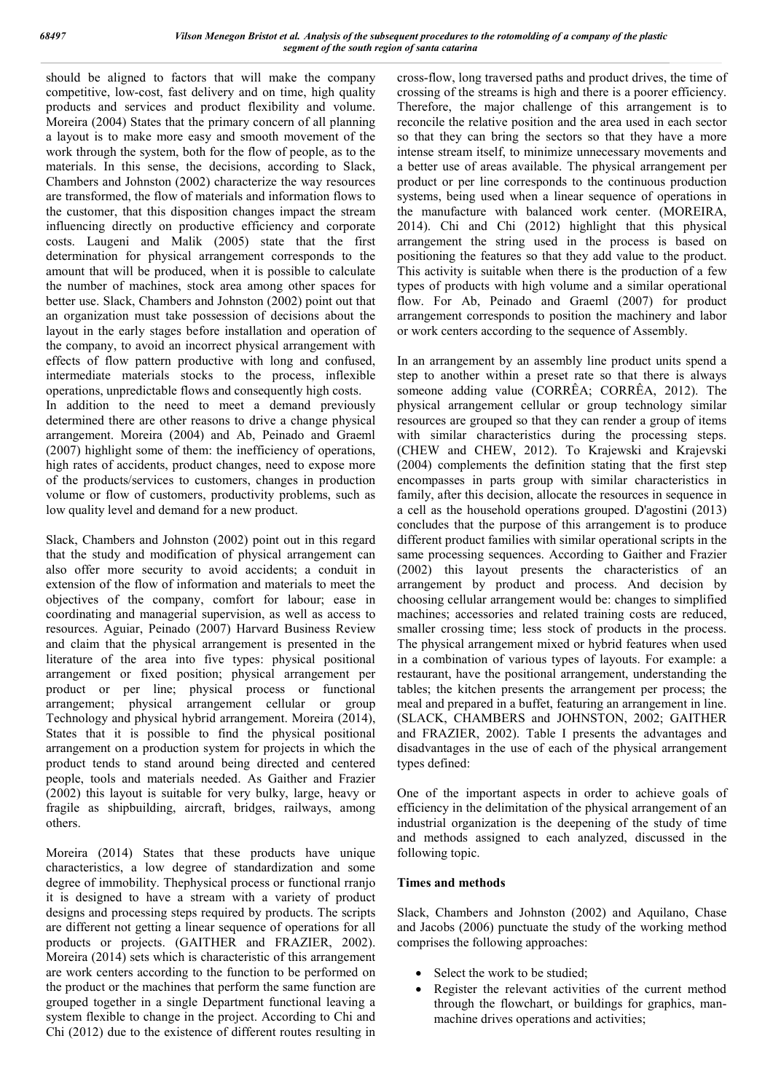should be aligned to factors that will make the company competitive, low-cost, fast delivery and on time, high quality products and services and product flexibility and volume. Moreira (2004) States that the primary concern of all planning a layout is to make more easy and smooth movement of the work through the system, both for the flow of people, as to the materials. In this sense, the decisions, according to Slack, Chambers and Johnston (2002) characterize the way resources are transformed, the flow of materials and information flows to the customer, that this disposition changes impact the stream influencing directly on productive efficiency and corporate costs. Laugeni and Malik (2005) state that the first determination for physical arrangement corresponds to the amount that will be produced, when it is possible to calculate the number of machines, stock area among other spaces for better use. Slack, Chambers and Johnston (2002) point out that an organization must take possession of decisions about the layout in the early stages before installation and operation of the company, to avoid an incorrect physical arrangement with effects of flow pattern productive with long and confused, intermediate materials stocks to the process, inflexible operations, unpredictable flows and consequently high costs.

In addition to the need to meet a demand previously determined there are other reasons to drive a change physical arrangement. Moreira (2004) and Ab, Peinado and Graeml (2007) highlight some of them: the inefficiency of operations, high rates of accidents, product changes, need to expose more of the products/services to customers, changes in production volume or flow of customers, productivity problems, such as low quality level and demand for a new product.

Slack, Chambers and Johnston (2002) point out in this regard that the study and modification of physical arrangement can also offer more security to avoid accidents; a conduit in extension of the flow of information and materials to meet the objectives of the company, comfort for labour; ease in coordinating and managerial supervision, as well as access to resources. Aguiar, Peinado (2007) Harvard Business Review and claim that the physical arrangement is presented in the literature of the area into five types: physical positional arrangement or fixed position; physical arrangement per product or per line; physical process or functional arrangement; physical arrangement cellular or group Technology and physical hybrid arrangement. Moreira (2014), States that it is possible to find the physical positional arrangement on a production system for projects in which the product tends to stand around being directed and centered people, tools and materials needed. As Gaither and Frazier (2002) this layout is suitable for very bulky, large, heavy or fragile as shipbuilding, aircraft, bridges, railways, among others.

Moreira (2014) States that these products have unique characteristics, a low degree of standardization and some degree of immobility. Thephysical process or functional rranjo it is designed to have a stream with a variety of product designs and processing steps required by products. The scripts are different not getting a linear sequence of operations for all products or projects. (GAITHER and FRAZIER, 2002). Moreira (2014) sets which is characteristic of this arrangement are work centers according to the function to be performed on the product or the machines that perform the same function are grouped together in a single Department functional leaving a system flexible to change in the project. According to Chi and Chi (2012) due to the existence of different routes resulting in

cross-flow, long traversed paths and product drives, the time of crossing of the streams is high and there is a poorer efficiency. Therefore, the major challenge of this arrangement is to reconcile the relative position and the area used in each sector so that they can bring the sectors so that they have a more intense stream itself, to minimize unnecessary movements and a better use of areas available. The physical arrangement per product or per line corresponds to the continuous production systems, being used when a linear sequence of operations in the manufacture with balanced work center. (MOREIRA, 2014). Chi and Chi (2012) highlight that this physical arrangement the string used in the process is based on positioning the features so that they add value to the product. This activity is suitable when there is the production of a few types of products with high volume and a similar operational flow. For Ab, Peinado and Graeml (2007) for product arrangement corresponds to position the machinery and labor or work centers according to the sequence of Assembly.

In an arrangement by an assembly line product units spend a step to another within a preset rate so that there is always someone adding value (CORRÊA; CORRÊA, 2012). The physical arrangement cellular or group technology similar resources are grouped so that they can render a group of items with similar characteristics during the processing steps. (CHEW and CHEW, 2012). To Krajewski and Krajevski (2004) complements the definition stating that the first step encompasses in parts group with similar characteristics in family, after this decision, allocate the resources in sequence in a cell as the household operations grouped. D'agostini (2013) concludes that the purpose of this arrangement is to produce different product families with similar operational scripts in the same processing sequences. According to Gaither and Frazier (2002) this layout presents the characteristics of an arrangement by product and process. And decision by choosing cellular arrangement would be: changes to simplified machines; accessories and related training costs are reduced, smaller crossing time; less stock of products in the process. The physical arrangement mixed or hybrid features when used in a combination of various types of layouts. For example: a restaurant, have the positional arrangement, understanding the tables; the kitchen presents the arrangement per process; the meal and prepared in a buffet, featuring an arrangement in line. (SLACK, CHAMBERS and JOHNSTON, 2002; GAITHER and FRAZIER, 2002). Table I presents the advantages and disadvantages in the use of each of the physical arrangement types defined:

One of the important aspects in order to achieve goals of efficiency in the delimitation of the physical arrangement of an industrial organization is the deepening of the study of time and methods assigned to each analyzed, discussed in the following topic.

# **Times and methods**

Slack, Chambers and Johnston (2002) and Aquilano, Chase and Jacobs (2006) punctuate the study of the working method comprises the following approaches:

- Select the work to be studied;
- Register the relevant activities of the current method through the flowchart, or buildings for graphics, manmachine drives operations and activities;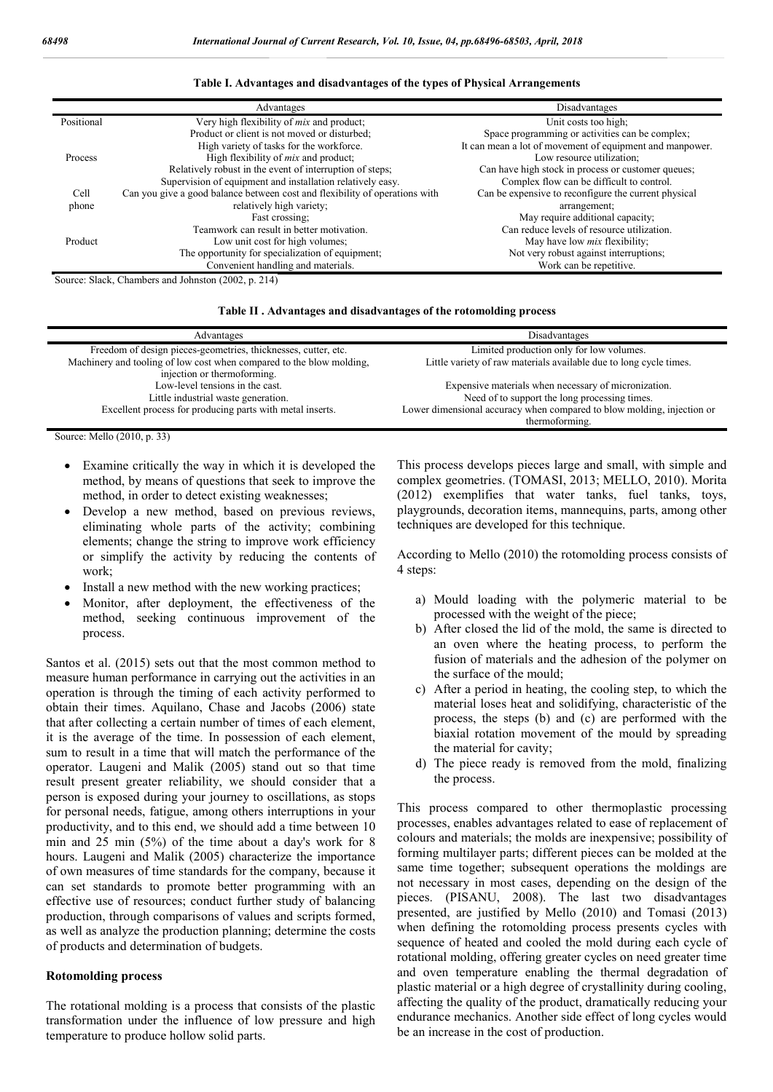|                | Advantages                                                                  | Disadvantages                                            |
|----------------|-----------------------------------------------------------------------------|----------------------------------------------------------|
| Positional     | Very high flexibility of <i>mix</i> and product;                            | Unit costs too high;                                     |
|                | Product or client is not moved or disturbed;                                | Space programming or activities can be complex;          |
|                | High variety of tasks for the workforce.                                    | It can mean a lot of movement of equipment and manpower. |
| <b>Process</b> | High flexibility of <i>mix</i> and product;                                 | Low resource utilization:                                |
|                | Relatively robust in the event of interruption of steps;                    | Can have high stock in process or customer queues;       |
|                | Supervision of equipment and installation relatively easy.                  | Complex flow can be difficult to control.                |
| Cell           | Can you give a good balance between cost and flexibility of operations with | Can be expensive to reconfigure the current physical     |
| phone          | relatively high variety;                                                    | arrangement;                                             |
|                | Fast crossing:                                                              | May require additional capacity;                         |
|                | Teamwork can result in better motivation.                                   | Can reduce levels of resource utilization.               |
| Product        | Low unit cost for high volumes;                                             | May have low <i>mix</i> flexibility;                     |
|                | The opportunity for specialization of equipment;                            | Not very robust against interruptions;                   |
|                | Convenient handling and materials.                                          | Work can be repetitive.                                  |

#### **Table I. Advantages and disadvantages of the types of Physical Arrangements**

Source: Slack, Chambers and Johnston (2002, p. 214)

#### **Table II . Advantages and disadvantages of the rotomolding process**

| Advantages                                                           | Disadvantages                                                          |
|----------------------------------------------------------------------|------------------------------------------------------------------------|
| Freedom of design pieces-geometries, thicknesses, cutter, etc.       | Limited production only for low volumes.                               |
| Machinery and tooling of low cost when compared to the blow molding, | Little variety of raw materials available due to long cycle times.     |
| injection or thermoforming.                                          |                                                                        |
| Low-level tensions in the cast.                                      | Expensive materials when necessary of micronization.                   |
| Little industrial waste generation.                                  | Need of to support the long processing times.                          |
| Excellent process for producing parts with metal inserts.            | Lower dimensional accuracy when compared to blow molding, injection or |
|                                                                      | thermoforming.                                                         |

Source: Mello (2010, p. 33)

- Examine critically the way in which it is developed the method, by means of questions that seek to improve the method, in order to detect existing weaknesses;
- Develop a new method, based on previous reviews, eliminating whole parts of the activity; combining elements; change the string to improve work efficiency or simplify the activity by reducing the contents of work;
- Install a new method with the new working practices;
- Monitor, after deployment, the effectiveness of the method, seeking continuous improvement of the process.

Santos et al. (2015) sets out that the most common method to measure human performance in carrying out the activities in an operation is through the timing of each activity performed to obtain their times. Aquilano, Chase and Jacobs (2006) state that after collecting a certain number of times of each element, it is the average of the time. In possession of each element, sum to result in a time that will match the performance of the operator. Laugeni and Malik (2005) stand out so that time result present greater reliability, we should consider that a person is exposed during your journey to oscillations, as stops for personal needs, fatigue, among others interruptions in your productivity, and to this end, we should add a time between 10 min and 25 min (5%) of the time about a day's work for 8 hours. Laugeni and Malik (2005) characterize the importance of own measures of time standards for the company, because it can set standards to promote better programming with an effective use of resources; conduct further study of balancing production, through comparisons of values and scripts formed, as well as analyze the production planning; determine the costs of products and determination of budgets.

#### **Rotomolding process**

The rotational molding is a process that consists of the plastic transformation under the influence of low pressure and high temperature to produce hollow solid parts.

This process develops pieces large and small, with simple and complex geometries. (TOMASI, 2013; MELLO, 2010). Morita (2012) exemplifies that water tanks, fuel tanks, toys, playgrounds, decoration items, mannequins, parts, among other techniques are developed for this technique.

According to Mello (2010) the rotomolding process consists of 4 steps:

- a) Mould loading with the polymeric material to be processed with the weight of the piece;
- b) After closed the lid of the mold, the same is directed to an oven where the heating process, to perform the fusion of materials and the adhesion of the polymer on the surface of the mould;
- c) After a period in heating, the cooling step, to which the material loses heat and solidifying, characteristic of the process, the steps (b) and (c) are performed with the biaxial rotation movement of the mould by spreading the material for cavity;
- d) The piece ready is removed from the mold, finalizing the process.

This process compared to other thermoplastic processing processes, enables advantages related to ease of replacement of colours and materials; the molds are inexpensive; possibility of forming multilayer parts; different pieces can be molded at the same time together; subsequent operations the moldings are not necessary in most cases, depending on the design of the pieces. (PISANU, 2008). The last two disadvantages presented, are justified by Mello (2010) and Tomasi (2013) when defining the rotomolding process presents cycles with sequence of heated and cooled the mold during each cycle of rotational molding, offering greater cycles on need greater time and oven temperature enabling the thermal degradation of plastic material or a high degree of crystallinity during cooling, affecting the quality of the product, dramatically reducing your endurance mechanics. Another side effect of long cycles would be an increase in the cost of production.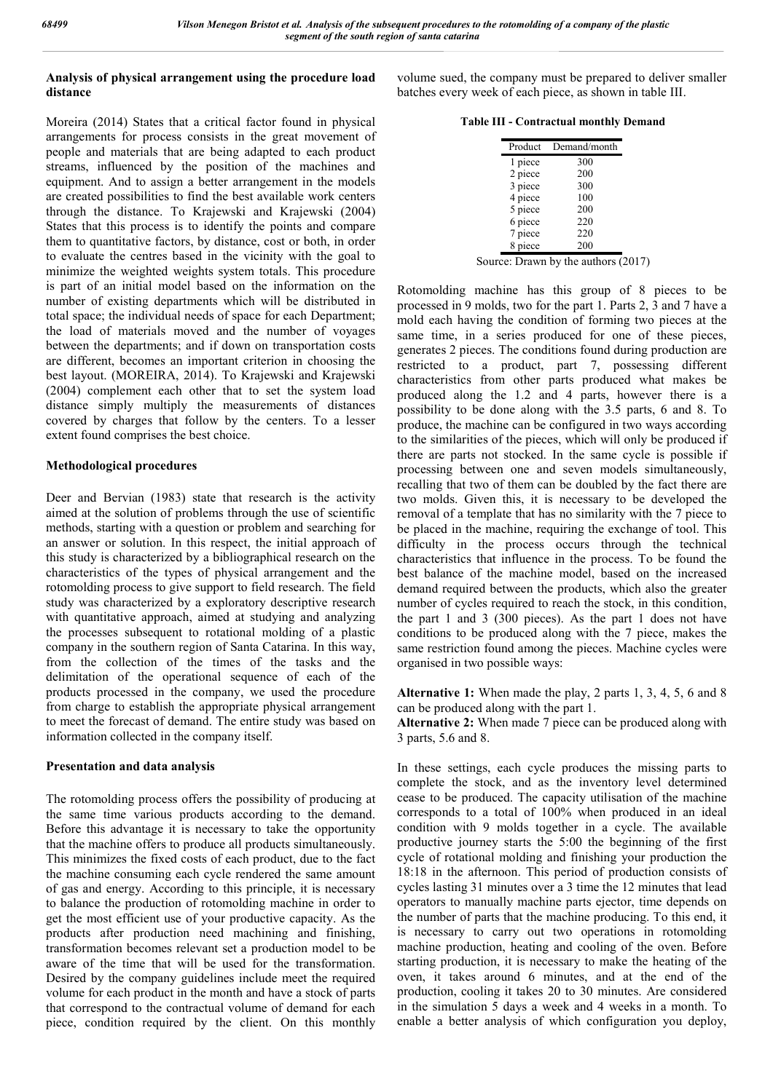# **Analysis of physical arrangement using the procedure load distance**

Moreira (2014) States that a critical factor found in physical arrangements for process consists in the great movement of people and materials that are being adapted to each product streams, influenced by the position of the machines and equipment. And to assign a better arrangement in the models are created possibilities to find the best available work centers through the distance. To Krajewski and Krajewski (2004) States that this process is to identify the points and compare them to quantitative factors, by distance, cost or both, in order to evaluate the centres based in the vicinity with the goal to minimize the weighted weights system totals. This procedure is part of an initial model based on the information on the number of existing departments which will be distributed in total space; the individual needs of space for each Department; the load of materials moved and the number of voyages between the departments; and if down on transportation costs are different, becomes an important criterion in choosing the best layout. (MOREIRA, 2014). To Krajewski and Krajewski (2004) complement each other that to set the system load distance simply multiply the measurements of distances covered by charges that follow by the centers. To a lesser extent found comprises the best choice.

# **Methodological procedures**

Deer and Bervian (1983) state that research is the activity aimed at the solution of problems through the use of scientific methods, starting with a question or problem and searching for an answer or solution. In this respect, the initial approach of this study is characterized by a bibliographical research on the characteristics of the types of physical arrangement and the rotomolding process to give support to field research. The field study was characterized by a exploratory descriptive research with quantitative approach, aimed at studying and analyzing the processes subsequent to rotational molding of a plastic company in the southern region of Santa Catarina. In this way, from the collection of the times of the tasks and the delimitation of the operational sequence of each of the products processed in the company, we used the procedure from charge to establish the appropriate physical arrangement to meet the forecast of demand. The entire study was based on information collected in the company itself.

# **Presentation and data analysis**

The rotomolding process offers the possibility of producing at the same time various products according to the demand. Before this advantage it is necessary to take the opportunity that the machine offers to produce all products simultaneously. This minimizes the fixed costs of each product, due to the fact the machine consuming each cycle rendered the same amount of gas and energy. According to this principle, it is necessary to balance the production of rotomolding machine in order to get the most efficient use of your productive capacity. As the products after production need machining and finishing, transformation becomes relevant set a production model to be aware of the time that will be used for the transformation. Desired by the company guidelines include meet the required volume for each product in the month and have a stock of parts that correspond to the contractual volume of demand for each piece, condition required by the client. On this monthly

volume sued, the company must be prepared to deliver smaller batches every week of each piece, as shown in table III.

| <b>Table III - Contractual monthly Demand</b> |  |  |
|-----------------------------------------------|--|--|
|-----------------------------------------------|--|--|

| Product | Demand/month |
|---------|--------------|
| 1 piece | 300          |
| 2 piece | 200          |
| 3 piece | 300          |
| 4 piece | 100          |
| 5 piece | 200          |
| 6 piece | 220          |
| 7 piece | 220          |
| 8 piece | 200          |
|         |              |

Source: Drawn by the authors (2017)

Rotomolding machine has this group of 8 pieces to be processed in 9 molds, two for the part 1. Parts 2, 3 and 7 have a mold each having the condition of forming two pieces at the same time, in a series produced for one of these pieces, generates 2 pieces. The conditions found during production are restricted to a product, part 7, possessing different characteristics from other parts produced what makes be produced along the 1.2 and 4 parts, however there is a possibility to be done along with the 3.5 parts, 6 and 8. To produce, the machine can be configured in two ways according to the similarities of the pieces, which will only be produced if there are parts not stocked. In the same cycle is possible if processing between one and seven models simultaneously, recalling that two of them can be doubled by the fact there are two molds. Given this, it is necessary to be developed the removal of a template that has no similarity with the 7 piece to be placed in the machine, requiring the exchange of tool. This difficulty in the process occurs through the technical characteristics that influence in the process. To be found the best balance of the machine model, based on the increased demand required between the products, which also the greater number of cycles required to reach the stock, in this condition, the part 1 and 3 (300 pieces). As the part 1 does not have conditions to be produced along with the 7 piece, makes the same restriction found among the pieces. Machine cycles were organised in two possible ways:

**Alternative 1:** When made the play, 2 parts 1, 3, 4, 5, 6 and 8 can be produced along with the part 1.

**Alternative 2:** When made 7 piece can be produced along with 3 parts, 5.6 and 8.

In these settings, each cycle produces the missing parts to complete the stock, and as the inventory level determined cease to be produced. The capacity utilisation of the machine corresponds to a total of 100% when produced in an ideal condition with 9 molds together in a cycle. The available productive journey starts the 5:00 the beginning of the first cycle of rotational molding and finishing your production the 18:18 in the afternoon. This period of production consists of cycles lasting 31 minutes over a 3 time the 12 minutes that lead operators to manually machine parts ejector, time depends on the number of parts that the machine producing. To this end, it is necessary to carry out two operations in rotomolding machine production, heating and cooling of the oven. Before starting production, it is necessary to make the heating of the oven, it takes around 6 minutes, and at the end of the production, cooling it takes 20 to 30 minutes. Are considered in the simulation 5 days a week and 4 weeks in a month. To enable a better analysis of which configuration you deploy,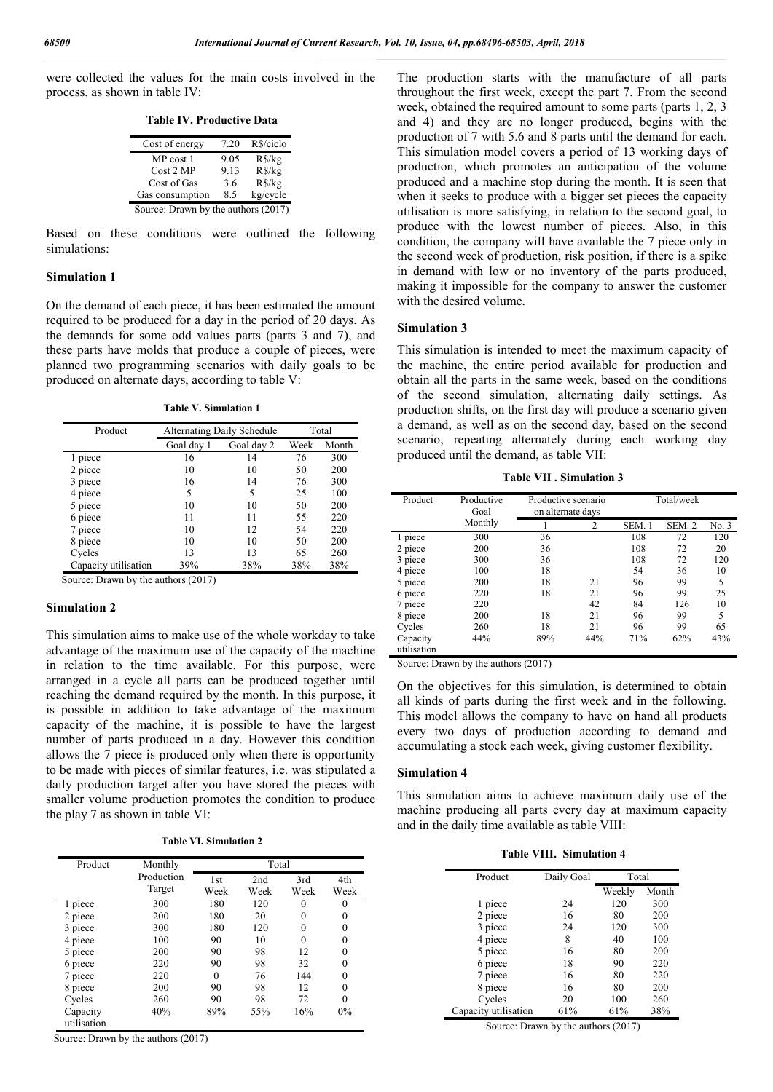were collected the values for the main costs involved in the process, as shown in table IV:

**Table IV. Productive Data**

| Cost of energy                      | 7.20 | R\$/ciclo |  |  |
|-------------------------------------|------|-----------|--|--|
| MP cost 1                           | 9.05 | $R\$ {kg} |  |  |
| Cost 2 MP                           | 9.13 | $R\$ {kg} |  |  |
| Cost of Gas                         | 3.6  | $R\$ {kg} |  |  |
| Gas consumption                     | 8.5  | kg/cycle  |  |  |
| Source: Drawn by the authors (2017) |      |           |  |  |

Based on these conditions were outlined the following simulations:

## **Simulation 1**

On the demand of each piece, it has been estimated the amount required to be produced for a day in the period of 20 days. As the demands for some odd values parts (parts 3 and 7), and these parts have molds that produce a couple of pieces, were planned two programming scenarios with daily goals to be produced on alternate days, according to table V:

**Table V. Simulation 1**

| Product              | <b>Alternating Daily Schedule</b> | Total      |      |       |
|----------------------|-----------------------------------|------------|------|-------|
|                      | Goal day 1                        | Goal day 2 | Week | Month |
| 1 piece              | 16                                | 14         | 76   | 300   |
| 2 piece              | 10                                | 10         | 50   | 200   |
| 3 piece              | 16                                | 14         | 76   | 300   |
| 4 piece              | 5                                 | 5          | 25   | 100   |
| 5 piece              | 10                                | 10         | 50   | 200   |
| 6 piece              | 11                                | 11         | 55   | 220   |
| 7 piece              | 10                                | 12         | 54   | 220   |
| 8 piece              | 10                                | 10         | 50   | 200   |
| Cycles               | 13                                | 13         | 65   | 260   |
| Capacity utilisation | 39%                               | 38%        | 38%  | 38%   |

Source: Drawn by the authors (2017)

#### **Simulation 2**

This simulation aims to make use of the whole workday to take advantage of the maximum use of the capacity of the machine in relation to the time available. For this purpose, were arranged in a cycle all parts can be produced together until reaching the demand required by the month. In this purpose, it is possible in addition to take advantage of the maximum capacity of the machine, it is possible to have the largest number of parts produced in a day. However this condition allows the 7 piece is produced only when there is opportunity to be made with pieces of similar features, i.e. was stipulated a daily production target after you have stored the pieces with smaller volume production promotes the condition to produce the play 7 as shown in table VI:

**Table VI. Simulation 2**

| Product                 | Monthly              |             | Total       |             |             |
|-------------------------|----------------------|-------------|-------------|-------------|-------------|
|                         | Production<br>Target | 1st<br>Week | 2nd<br>Week | 3rd<br>Week | 4th<br>Week |
| 1 piece                 | 300                  | 180         | 120         | 0           | 0           |
| 2 piece                 | 200                  | 180         | 20          | 0           | 0           |
| 3 piece                 | 300                  | 180         | 120         | 0           | 0           |
| 4 piece                 | 100                  | 90          | 10          | 0           | 0           |
| 5 piece                 | 200                  | 90          | 98          | 12          | 0           |
| 6 piece                 | 220                  | 90          | 98          | 32          | 0           |
| 7 piece                 | 220                  | $\theta$    | 76          | 144         | 0           |
| 8 piece                 | 200                  | 90          | 98          | 12          | 0           |
| Cycles                  | 260                  | 90          | 98          | 72          | 0           |
| Capacity<br>utilisation | 40%                  | 89%         | 55%         | 16%         | 0%          |

Source: Drawn by the authors (2017)

The production starts with the manufacture of all parts throughout the first week, except the part 7. From the second week, obtained the required amount to some parts (parts 1, 2, 3 and 4) and they are no longer produced, begins with the production of 7 with 5.6 and 8 parts until the demand for each. This simulation model covers a period of 13 working days of production, which promotes an anticipation of the volume produced and a machine stop during the month. It is seen that when it seeks to produce with a bigger set pieces the capacity utilisation is more satisfying, in relation to the second goal, to produce with the lowest number of pieces. Also, in this condition, the company will have available the 7 piece only in the second week of production, risk position, if there is a spike in demand with low or no inventory of the parts produced, making it impossible for the company to answer the customer with the desired volume.

#### **Simulation 3**

This simulation is intended to meet the maximum capacity of the machine, the entire period available for production and obtain all the parts in the same week, based on the conditions of the second simulation, alternating daily settings. As production shifts, on the first day will produce a scenario given a demand, as well as on the second day, based on the second scenario, repeating alternately during each working day produced until the demand, as table VII:

**Table VII . Simulation 3**

| Product                 | Productive<br>Goal | Productive scenario<br>on alternate days |     | Total/week |                  |       |
|-------------------------|--------------------|------------------------------------------|-----|------------|------------------|-------|
|                         | Monthly            |                                          | 2   | SEM. 1     | SEM <sub>2</sub> | No. 3 |
| 1 piece                 | 300                | 36                                       |     | 108        | 72               | 120   |
| 2 piece                 | 200                | 36                                       |     | 108        | 72               | 20    |
| 3 piece                 | 300                | 36                                       |     | 108        | 72               | 120   |
| 4 piece                 | 100                | 18                                       |     | 54         | 36               | 10    |
| 5 piece                 | 200                | 18                                       | 21  | 96         | 99               | 5     |
| 6 piece                 | 220                | 18                                       | 21  | 96         | 99               | 25    |
| 7 piece                 | 220                |                                          | 42  | 84         | 126              | 10    |
| 8 piece                 | 200                | 18                                       | 21  | 96         | 99               | 5     |
| Cycles                  | 260                | 18                                       | 21  | 96         | 99               | 65    |
| Capacity<br>utilisation | 44%                | 89%                                      | 44% | 71%        | 62%              | 43%   |

Source: Drawn by the authors (2017)

On the objectives for this simulation, is determined to obtain all kinds of parts during the first week and in the following. This model allows the company to have on hand all products every two days of production according to demand and accumulating a stock each week, giving customer flexibility.

## **Simulation 4**

This simulation aims to achieve maximum daily use of the machine producing all parts every day at maximum capacity and in the daily time available as table VIII:

**Table VIII. Simulation 4**

| Product              | Daily Goal | Total  |       |
|----------------------|------------|--------|-------|
|                      |            | Weekly | Month |
| 1 piece              | 24         | 120    | 300   |
| 2 piece              | 16         | 80     | 200   |
| 3 piece              | 24         | 120    | 300   |
| 4 piece              | 8          | 40     | 100   |
| 5 piece              | 16         | 80     | 200   |
| 6 piece              | 18         | 90     | 220   |
| 7 piece              | 16         | 80     | 220   |
| 8 piece              | 16         | 80     | 200   |
| Cycles               | 20         | 100    | 260   |
| Capacity utilisation | 61%        | 61%    | 38%   |

Source: Drawn by the authors (2017)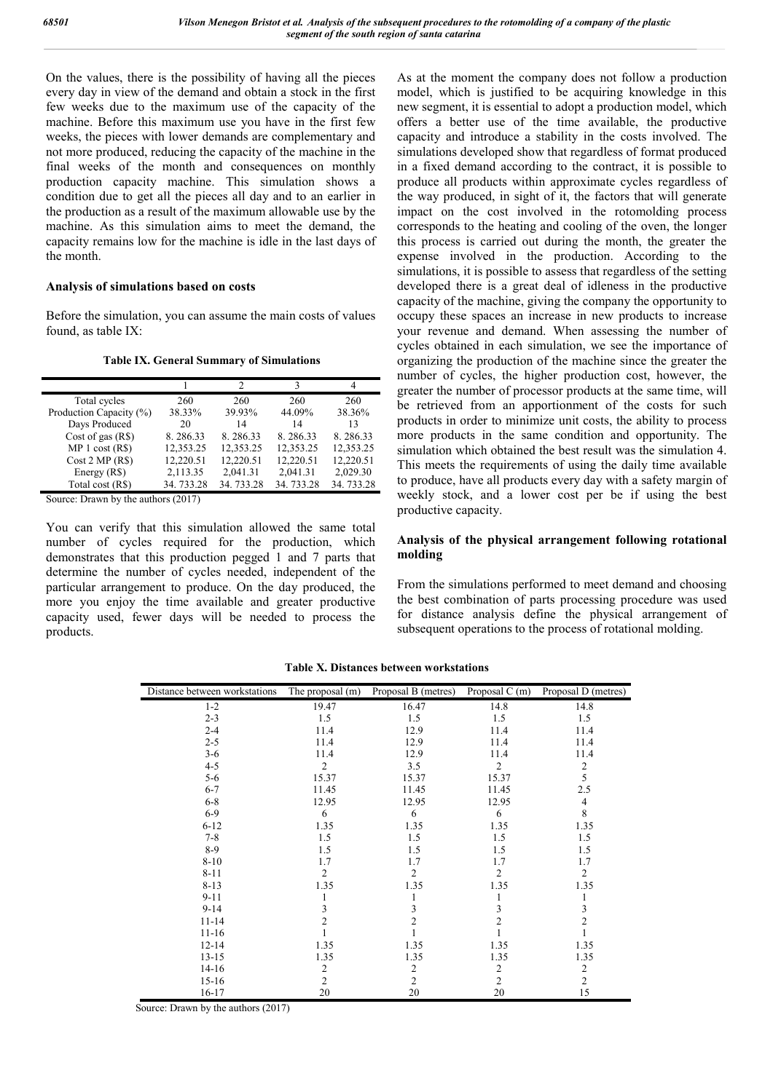On the values, there is the possibility of having all the pieces every day in view of the demand and obtain a stock in the first few weeks due to the maximum use of the capacity of the machine. Before this maximum use you have in the first few weeks, the pieces with lower demands are complementary and not more produced, reducing the capacity of the machine in the final weeks of the month and consequences on monthly production capacity machine. This simulation shows a condition due to get all the pieces all day and to an earlier in the production as a result of the maximum allowable use by the machine. As this simulation aims to meet the demand, the capacity remains low for the machine is idle in the last days of the month.

#### **Analysis of simulations based on costs**

Before the simulation, you can assume the main costs of values found, as table IX:

#### **Table IX. General Summary of Simulations**

| Total cycles            | 260       | 260       | 260       | 260       |
|-------------------------|-----------|-----------|-----------|-----------|
| Production Capacity (%) | 38.33%    | 39.93%    | 44.09%    | 38.36%    |
| Days Produced           | 20        | 14        | 14        | 13        |
| Cost of gas $(R$)$      | 8.286.33  | 8.286.33  | 8.286.33  | 8.286.33  |
| MP 1 cost (RS)          | 12,353.25 | 12,353.25 | 12,353.25 | 12,353.25 |
| Cost 2 MP (RS)          | 12,220.51 | 12,220.51 | 12,220.51 | 12,220.51 |
| Energy (R\$)            | 2,113.35  | 2,041.31  | 2,041.31  | 2,029.30  |
| Total cost (R\$)        | 34.733.28 | 34.733.28 | 34.733.28 | 34.733.28 |

Source: Drawn by the authors (2017)

You can verify that this simulation allowed the same total number of cycles required for the production, which demonstrates that this production pegged 1 and 7 parts that determine the number of cycles needed, independent of the particular arrangement to produce. On the day produced, the more you enjoy the time available and greater productive capacity used, fewer days will be needed to process the products.

As at the moment the company does not follow a production model, which is justified to be acquiring knowledge in this new segment, it is essential to adopt a production model, which offers a better use of the time available, the productive capacity and introduce a stability in the costs involved. The simulations developed show that regardless of format produced in a fixed demand according to the contract, it is possible to produce all products within approximate cycles regardless of the way produced, in sight of it, the factors that will generate impact on the cost involved in the rotomolding process corresponds to the heating and cooling of the oven, the longer this process is carried out during the month, the greater the expense involved in the production. According to the simulations, it is possible to assess that regardless of the setting developed there is a great deal of idleness in the productive capacity of the machine, giving the company the opportunity to occupy these spaces an increase in new products to increase your revenue and demand. When assessing the number of cycles obtained in each simulation, we see the importance of organizing the production of the machine since the greater the number of cycles, the higher production cost, however, the greater the number of processor products at the same time, will be retrieved from an apportionment of the costs for such products in order to minimize unit costs, the ability to process more products in the same condition and opportunity. The simulation which obtained the best result was the simulation 4. This meets the requirements of using the daily time available to produce, have all products every day with a safety margin of weekly stock, and a lower cost per be if using the best productive capacity.

#### **Analysis of the physical arrangement following rotational molding**

From the simulations performed to meet demand and choosing the best combination of parts processing procedure was used for distance analysis define the physical arrangement of subsequent operations to the process of rotational molding.

| Distance between workstations | The proposal (m) | Proposal B (metres) | Proposal C (m) | Proposal D (metres) |
|-------------------------------|------------------|---------------------|----------------|---------------------|
| $1 - 2$                       | 19.47            | 16.47               | 14.8           | 14.8                |
| $2 - 3$                       | 1.5              | 1.5                 | 1.5            | 1.5                 |
| $2 - 4$                       | 11.4             | 12.9                | 11.4           | 11.4                |
| $2 - 5$                       | 11.4             | 12.9                | 11.4           | 11.4                |
| $3-6$                         | 11.4             | 12.9                | 11.4           | 11.4                |
| $4 - 5$                       | $\overline{c}$   | 3.5                 | 2              | $\boldsymbol{2}$    |
| $5 - 6$                       | 15.37            | 15.37               | 15.37          | 5                   |
| $6 - 7$                       | 11.45            | 11.45               | 11.45          | 2.5                 |
| $6 - 8$                       | 12.95            | 12.95               | 12.95          | $\overline{4}$      |
| $6-9$                         | 6                | 6                   | 6              | $\,8\,$             |
| $6 - 12$                      | 1.35             | 1.35                | 1.35           | 1.35                |
| $7 - 8$                       | 1.5              | 1.5                 | 1.5            | 1.5                 |
| $8-9$                         | 1.5              | 1.5                 | 1.5            | 1.5                 |
| $8 - 10$                      | 1.7              | 1.7                 | 1.7            | 1.7                 |
| $8 - 11$                      | $\overline{2}$   | $\overline{2}$      | 2              | 2                   |
| $8 - 13$                      | 1.35             | 1.35                | 1.35           | 1.35                |
| $9 - 11$                      |                  |                     |                |                     |
| $9 - 14$                      | 3                | 3                   | 3              | 3                   |
| $11 - 14$                     | $\overline{2}$   | $\overline{c}$      | $\overline{2}$ | $\overline{c}$      |
| $11 - 16$                     |                  |                     |                |                     |
| $12 - 14$                     | 1.35             | 1.35                | 1.35           | 1.35                |
| $13 - 15$                     | 1.35             | 1.35                | 1.35           | 1.35                |
| $14-16$                       | $\overline{c}$   | $\overline{c}$      | 2              | $\boldsymbol{2}$    |
| $15 - 16$                     | $\overline{2}$   | $\overline{c}$      | $\overline{2}$ | $\overline{c}$      |
| $16 - 17$                     | 20               | 20                  | 20             | 15                  |

**Table X. Distances between workstations**

Source: Drawn by the authors (2017)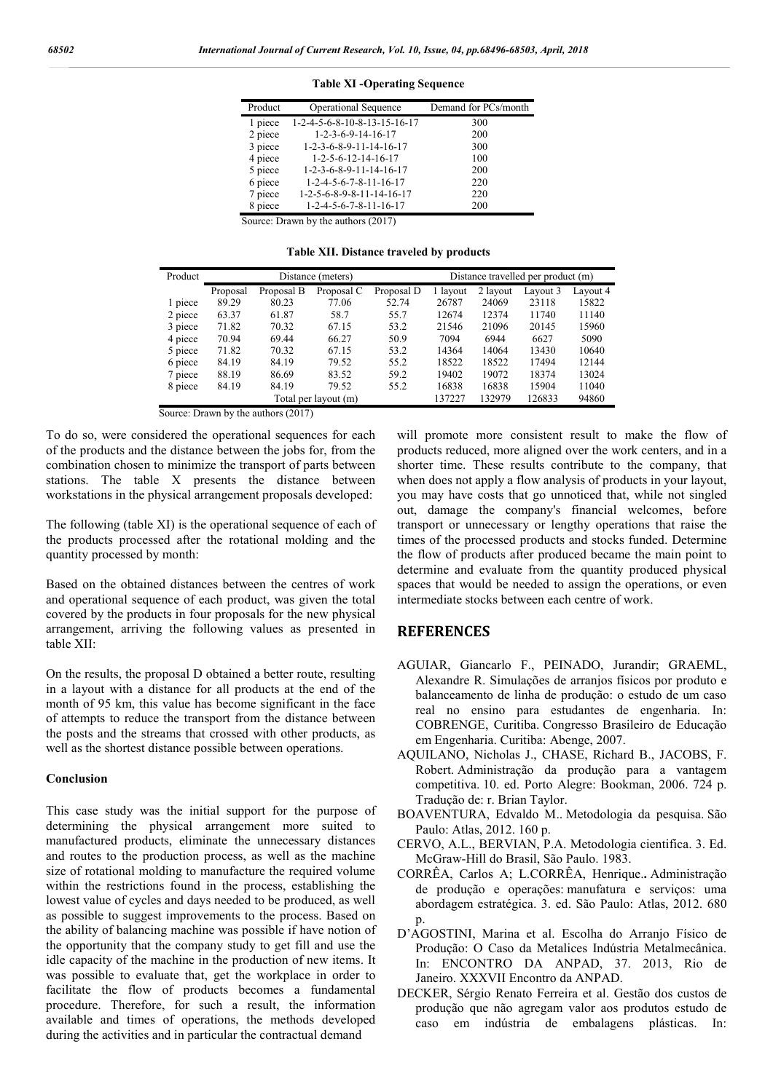| Product                             | <b>Operational Sequence</b>                     | Demand for PCs/month |  |  |  |  |  |
|-------------------------------------|-------------------------------------------------|----------------------|--|--|--|--|--|
| 1 piece                             | 1-2-4-5-6-8-10-8-13-15-16-17                    | 300                  |  |  |  |  |  |
| 2 piece                             | $1 - 2 - 3 - 6 - 9 - 14 - 16 - 17$              | 200                  |  |  |  |  |  |
| 3 piece                             | $1 - 2 - 3 - 6 - 8 - 9 - 11 - 14 - 16 - 17$     | 300                  |  |  |  |  |  |
| 4 piece                             | $1 - 2 - 5 - 6 - 12 - 14 - 16 - 17$             | 100                  |  |  |  |  |  |
| 5 piece                             | $1 - 2 - 3 - 6 - 8 - 9 - 11 - 14 - 16 - 17$     | 200                  |  |  |  |  |  |
| 6 piece                             | $1 - 2 - 4 - 5 - 6 - 7 - 8 - 11 - 16 - 17$      | 220                  |  |  |  |  |  |
| 7 piece                             | $1 - 2 - 5 - 6 - 8 - 9 - 8 - 11 - 14 - 16 - 17$ | 220                  |  |  |  |  |  |
| 8 piece                             | $1 - 2 - 4 - 5 - 6 - 7 - 8 - 11 - 16 - 17$      | 200                  |  |  |  |  |  |
| Source: Drawn by the authors (2017) |                                                 |                      |  |  |  |  |  |

**Table XI -Operating Sequence**

**Table XII. Distance traveled by products**

| Product |          | Distance travelled per product (m) |                      |            |          |          |          |          |
|---------|----------|------------------------------------|----------------------|------------|----------|----------|----------|----------|
|         | Proposal | Proposal B                         | Proposal C           | Proposal D | 1 layout | 2 layout | Layout 3 | Lavout 4 |
| 1 piece | 89.29    | 80.23                              | 77.06                | 52.74      | 26787    | 24069    | 23118    | 15822    |
| 2 piece | 63.37    | 61.87                              | 58.7                 | 55.7       | 12674    | 12374    | 11740    | 11140    |
| 3 piece | 71.82    | 70.32                              | 67.15                | 53.2       | 21546    | 21096    | 20145    | 15960    |
| 4 piece | 70.94    | 69.44                              | 66.27                | 50.9       | 7094     | 6944     | 6627     | 5090     |
| 5 piece | 71.82    | 70.32                              | 67.15                | 53.2       | 14364    | 14064    | 13430    | 10640    |
| 6 piece | 84.19    | 84.19                              | 79.52                | 55.2       | 18522    | 18522    | 17494    | 12144    |
| 7 piece | 88.19    | 86.69                              | 83.52                | 59.2       | 19402    | 19072    | 18374    | 13024    |
| 8 piece | 84.19    | 84.19                              | 79.52                | 55.2       | 16838    | 16838    | 15904    | 11040    |
|         |          |                                    | Total per layout (m) |            | 137227   | 132979   | 126833   | 94860    |

Source: Drawn by the authors (2017)

To do so, were considered the operational sequences for each of the products and the distance between the jobs for, from the combination chosen to minimize the transport of parts between stations. The table X presents the distance between workstations in the physical arrangement proposals developed:

The following (table XI) is the operational sequence of each of the products processed after the rotational molding and the quantity processed by month:

Based on the obtained distances between the centres of work and operational sequence of each product, was given the total covered by the products in four proposals for the new physical arrangement, arriving the following values as presented in table XII:

On the results, the proposal D obtained a better route, resulting in a layout with a distance for all products at the end of the month of 95 km, this value has become significant in the face of attempts to reduce the transport from the distance between the posts and the streams that crossed with other products, as well as the shortest distance possible between operations.

#### **Conclusion**

This case study was the initial support for the purpose of determining the physical arrangement more suited to manufactured products, eliminate the unnecessary distances and routes to the production process, as well as the machine size of rotational molding to manufacture the required volume within the restrictions found in the process, establishing the lowest value of cycles and days needed to be produced, as well as possible to suggest improvements to the process. Based on the ability of balancing machine was possible if have notion of the opportunity that the company study to get fill and use the idle capacity of the machine in the production of new items. It was possible to evaluate that, get the workplace in order to facilitate the flow of products becomes a fundamental procedure. Therefore, for such a result, the information available and times of operations, the methods developed during the activities and in particular the contractual demand

will promote more consistent result to make the flow of products reduced, more aligned over the work centers, and in a shorter time. These results contribute to the company, that when does not apply a flow analysis of products in your layout, you may have costs that go unnoticed that, while not singled out, damage the company's financial welcomes, before transport or unnecessary or lengthy operations that raise the times of the processed products and stocks funded. Determine the flow of products after produced became the main point to determine and evaluate from the quantity produced physical spaces that would be needed to assign the operations, or even intermediate stocks between each centre of work.

# **REFERENCES**

- AGUIAR, Giancarlo F., PEINADO, Jurandir; GRAEML, Alexandre R. Simulações de arranjos físicos por produto e balanceamento de linha de produção: o estudo de um caso real no ensino para estudantes de engenharia. In: COBRENGE, Curitiba. Congresso Brasileiro de Educação em Engenharia. Curitiba: Abenge, 2007.
- AQUILANO, Nicholas J., CHASE, Richard B., JACOBS, F. Robert. Administração da produção para a vantagem competitiva. 10. ed. Porto Alegre: Bookman, 2006. 724 p. Tradução de: r. Brian Taylor.
- BOAVENTURA, Edvaldo M.. Metodologia da pesquisa. São Paulo: Atlas, 2012. 160 p.
- CERVO, A.L., BERVIAN, P.A. Metodologia cientifica. 3. Ed. McGraw-Hill do Brasil, São Paulo. 1983.
- CORRÊA, Carlos A; L.CORRÊA, Henrique.**.** Administração de produção e operações: manufatura e serviços: uma abordagem estratégica. 3. ed. São Paulo: Atlas, 2012. 680 p.
- D'AGOSTINI, Marina et al. Escolha do Arranjo Físico de Produção: O Caso da Metalices Indústria Metalmecânica. In: ENCONTRO DA ANPAD, 37. 2013, Rio de Janeiro. XXXVII Encontro da ANPAD.
- DECKER, Sérgio Renato Ferreira et al. Gestão dos custos de produção que não agregam valor aos produtos estudo de caso em indústria de embalagens plásticas. In: